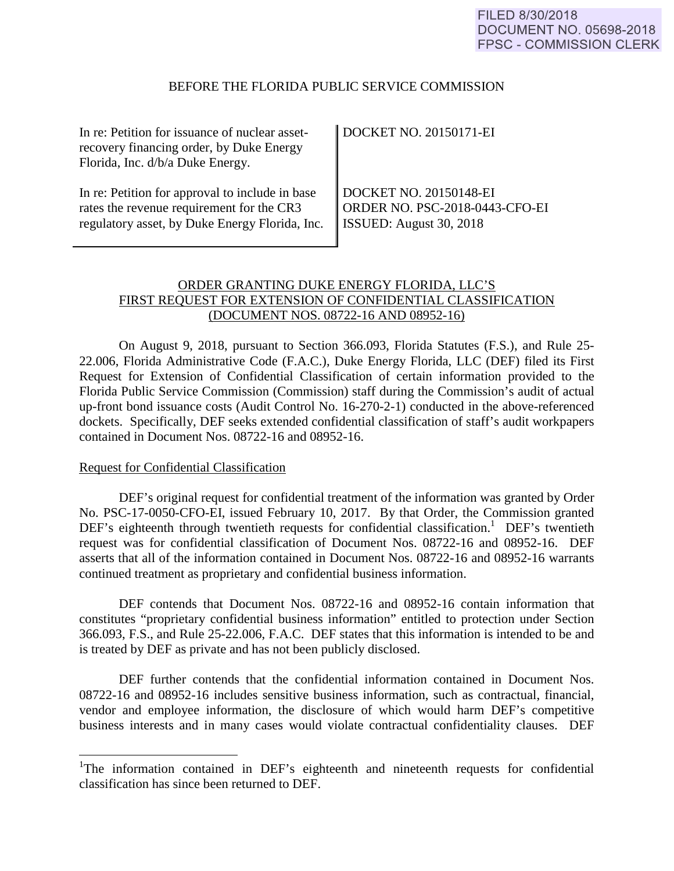#### BEFORE THE FLORIDA PUBLIC SERVICE COMMISSION

| In re: Petition for issuance of nuclear asset-  | <b>DOCKET NO. 20150171-EI</b>  |
|-------------------------------------------------|--------------------------------|
| recovery financing order, by Duke Energy        |                                |
| Florida, Inc. d/b/a Duke Energy.                |                                |
|                                                 |                                |
| In re: Petition for approval to include in base | DOCKET NO. 20150148-EI         |
| rates the revenue requirement for the CR3       | ORDER NO. PSC-2018-0443-CFO-EI |
| regulatory asset, by Duke Energy Florida, Inc.  | SSUED: August 30, 2018         |
|                                                 |                                |

# ORDER GRANTING DUKE ENERGY FLORIDA, LLC'S FIRST REQUEST FOR EXTENSION OF CONFIDENTIAL CLASSIFICATION (DOCUMENT NOS. 08722-16 AND 08952-16)

On August 9, 2018, pursuant to Section 366.093, Florida Statutes (F.S.), and Rule 25- 22.006, Florida Administrative Code (F.A.C.), Duke Energy Florida, LLC (DEF) filed its First Request for Extension of Confidential Classification of certain information provided to the Florida Public Service Commission (Commission) staff during the Commission's audit of actual up-front bond issuance costs (Audit Control No. 16-270-2-1) conducted in the above-referenced dockets. Specifically, DEF seeks extended confidential classification of staff's audit workpapers contained in Document Nos. 08722-16 and 08952-16.

### Request for Confidential Classification

 $\overline{a}$ 

 DEF's original request for confidential treatment of the information was granted by Order No. PSC-17-0050-CFO-EI, issued February 10, 2017. By that Order, the Commission granted DEF's eighteenth through twentieth requests for confidential classification.<sup>1</sup> DEF's twentieth request was for confidential classification of Document Nos. 08722-16 and 08952-16. DEF asserts that all of the information contained in Document Nos. 08722-16 and 08952-16 warrants continued treatment as proprietary and confidential business information.

 DEF contends that Document Nos. 08722-16 and 08952-16 contain information that constitutes "proprietary confidential business information" entitled to protection under Section 366.093, F.S., and Rule 25-22.006, F.A.C. DEF states that this information is intended to be and is treated by DEF as private and has not been publicly disclosed.

 DEF further contends that the confidential information contained in Document Nos. 08722-16 and 08952-16 includes sensitive business information, such as contractual, financial, vendor and employee information, the disclosure of which would harm DEF's competitive business interests and in many cases would violate contractual confidentiality clauses. DEF

<sup>&</sup>lt;sup>1</sup>The information contained in DEF's eighteenth and nineteenth requests for confidential classification has since been returned to DEF.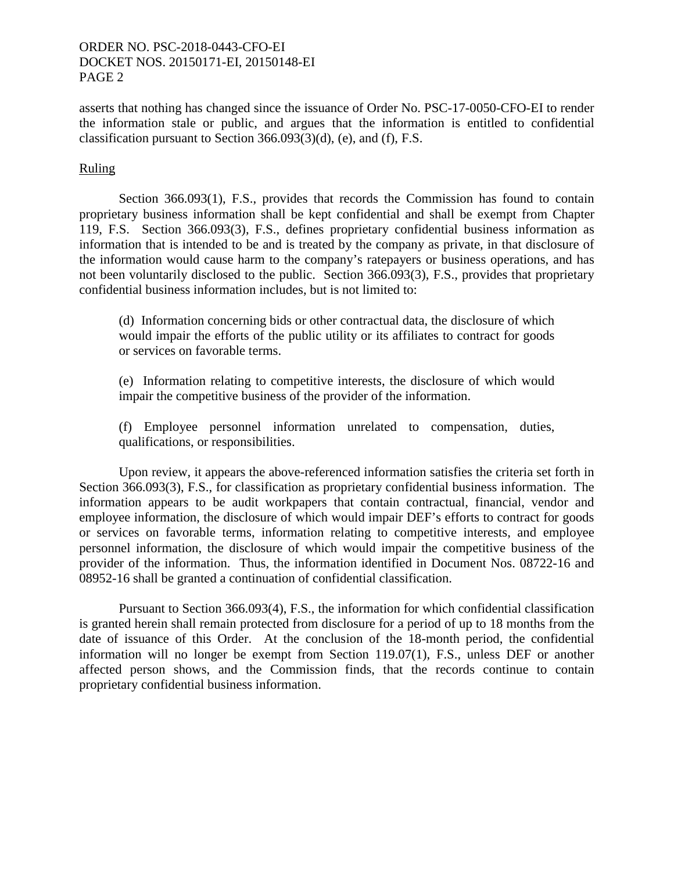## ORDER NO. PSC-2018-0443-CFO-EI DOCKET NOS. 20150171-EI, 20150148-EI PAGE 2

asserts that nothing has changed since the issuance of Order No. PSC-17-0050-CFO-EI to render the information stale or public, and argues that the information is entitled to confidential classification pursuant to Section 366.093(3)(d), (e), and (f), F.S.

## **Ruling**

Section 366.093(1), F.S., provides that records the Commission has found to contain proprietary business information shall be kept confidential and shall be exempt from Chapter 119, F.S. Section 366.093(3), F.S., defines proprietary confidential business information as information that is intended to be and is treated by the company as private, in that disclosure of the information would cause harm to the company's ratepayers or business operations, and has not been voluntarily disclosed to the public. Section 366.093(3), F.S., provides that proprietary confidential business information includes, but is not limited to:

(d) Information concerning bids or other contractual data, the disclosure of which would impair the efforts of the public utility or its affiliates to contract for goods or services on favorable terms.

(e) Information relating to competitive interests, the disclosure of which would impair the competitive business of the provider of the information.

(f) Employee personnel information unrelated to compensation, duties, qualifications, or responsibilities.

Upon review, it appears the above-referenced information satisfies the criteria set forth in Section 366.093(3), F.S., for classification as proprietary confidential business information. The information appears to be audit workpapers that contain contractual, financial, vendor and employee information, the disclosure of which would impair DEF's efforts to contract for goods or services on favorable terms, information relating to competitive interests, and employee personnel information, the disclosure of which would impair the competitive business of the provider of the information. Thus, the information identified in Document Nos. 08722-16 and 08952-16 shall be granted a continuation of confidential classification.

Pursuant to Section 366.093(4), F.S., the information for which confidential classification is granted herein shall remain protected from disclosure for a period of up to 18 months from the date of issuance of this Order. At the conclusion of the 18-month period, the confidential information will no longer be exempt from Section 119.07(1), F.S., unless DEF or another affected person shows, and the Commission finds, that the records continue to contain proprietary confidential business information.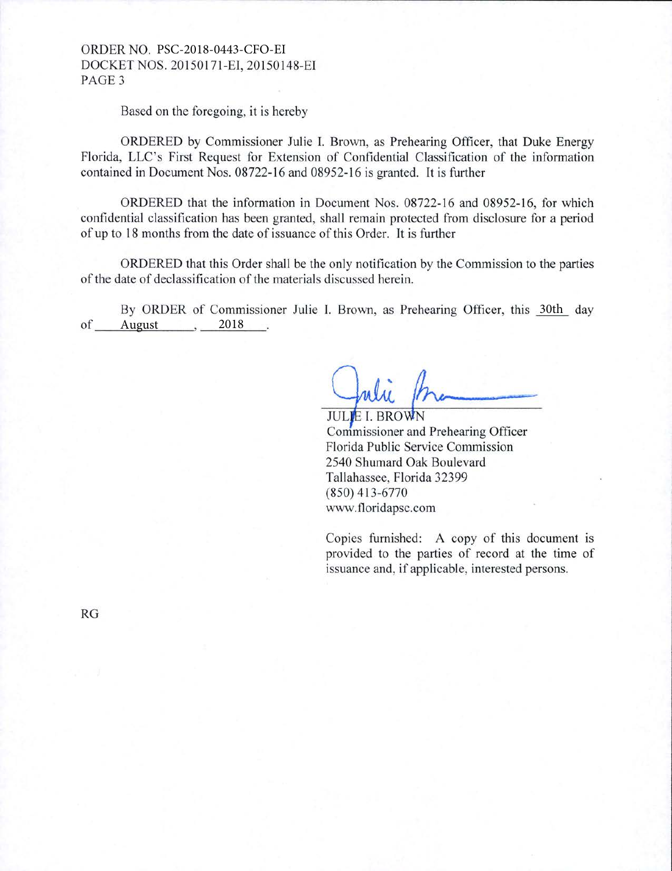## ORDER NO. PSC-2018-0443-CFO-EI DOCKET NOS. 20150171-EI, 20150148-EI PAGE<sub>3</sub>

Based on the foregoing, it is hereby

ORDERED by Commissioner Julie I. Brown, as Prehearing Officer, that Duke Energy Florida, LLC's First Request for Extension of Confidential Classification of the information contained in Document Nos. 08722-16 and 08952-16 is granted. It is further

ORDERED that the information in Document Nos. 08722-16 and 08952-16, for which confidential classification has been granted, shall remain protected from disclosure for a period of up to 18 months from the date of issuance of this Order. It is further

ORDERED that this Order shall be the only notification by the Commission to the parties of the date of declassification of the materials discussed herein.

By ORDER of Commissioner Julie I. Brown, as Prehearing Officer, this 30th day of  $\frac{2018}{2018}$ ,  $\frac{2018}{2018}$ 

**JULIE L BROWN** Commissioner and Prehearing Officer Florida Public Service Commission 2540 Shumard Oak Boulevard Tallahassee, Florida 32399 (850) 413-6770 www.tloridapsc.com

Copies furnished: A copy of this document is provided to the parties of record at the time of issuance and, if applicable, interested persons.